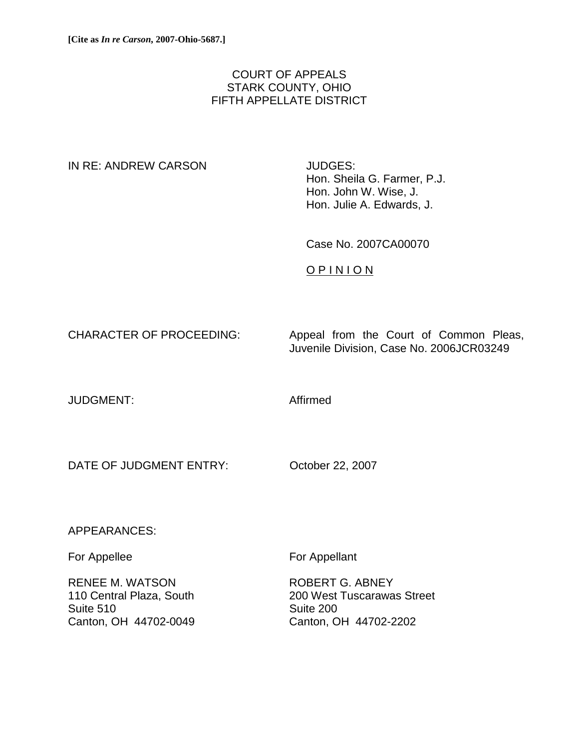# COURT OF APPEALS STARK COUNTY, OHIO FIFTH APPELLATE DISTRICT

### IN RE: ANDREW CARSON JUDGES:

Hon. Sheila G. Farmer, P.J. Hon. John W. Wise, J. Hon. Julie A. Edwards, J.

Case No. 2007CA00070

O P I N I O N

CHARACTER OF PROCEEDING: Appeal from the Court of Common Pleas, Juvenile Division, Case No. 2006JCR03249

JUDGMENT: Affirmed

DATE OF JUDGMENT ENTRY: October 22, 2007

## APPEARANCES:

RENEE M. WATSON ROBERT G. ABNEY Suite 510 Suite 200 Canton, OH 44702-0049 Canton, OH 44702-2202

For Appellee For Appellant

110 Central Plaza, South 200 West Tuscarawas Street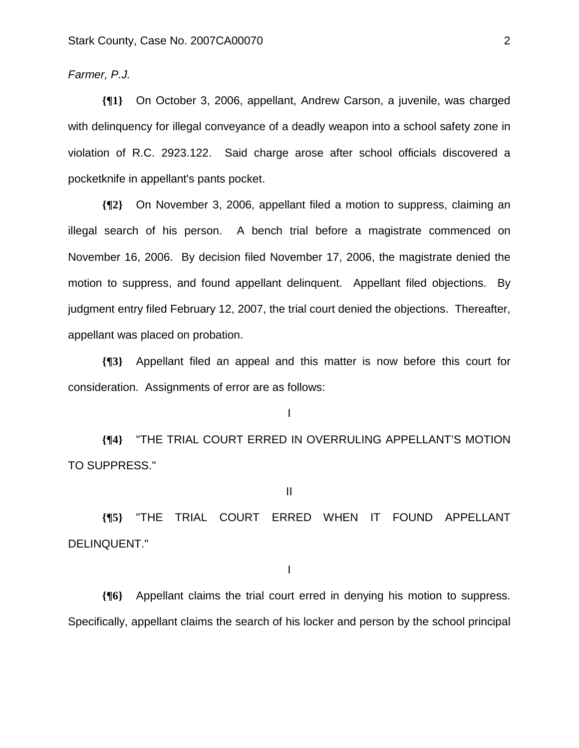#### *Farmer, P.J.*

**{¶1}** On October 3, 2006, appellant, Andrew Carson, a juvenile, was charged with delinquency for illegal conveyance of a deadly weapon into a school safety zone in violation of R.C. 2923.122. Said charge arose after school officials discovered a pocketknife in appellant's pants pocket.

**{¶2}** On November 3, 2006, appellant filed a motion to suppress, claiming an illegal search of his person. A bench trial before a magistrate commenced on November 16, 2006. By decision filed November 17, 2006, the magistrate denied the motion to suppress, and found appellant delinquent. Appellant filed objections. By judgment entry filed February 12, 2007, the trial court denied the objections. Thereafter, appellant was placed on probation.

**{¶3}** Appellant filed an appeal and this matter is now before this court for consideration. Assignments of error are as follows:

I

**{¶4}** "THE TRIAL COURT ERRED IN OVERRULING APPELLANT'S MOTION TO SUPPRESS."

II

**{¶5}** "THE TRIAL COURT ERRED WHEN IT FOUND APPELLANT DELINQUENT."

I

**{¶6}** Appellant claims the trial court erred in denying his motion to suppress. Specifically, appellant claims the search of his locker and person by the school principal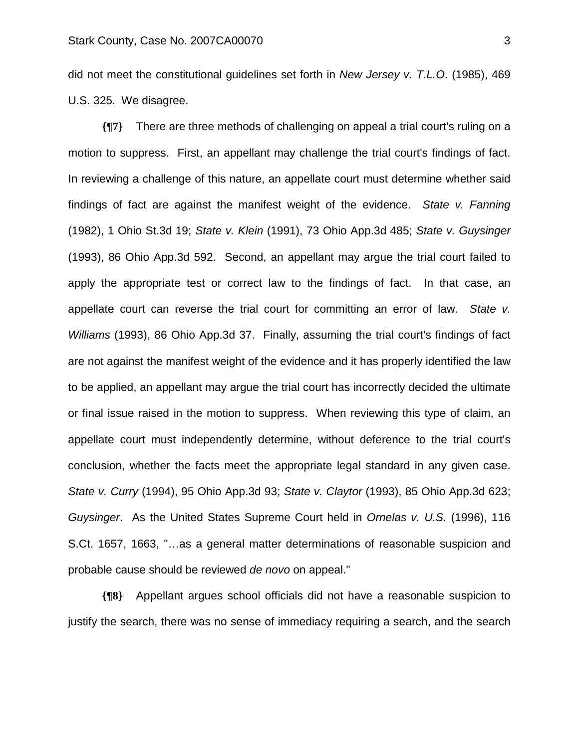did not meet the constitutional guidelines set forth in *New Jersey v. T.L.O*. (1985), 469 U.S. 325. We disagree.

**{¶7}** There are three methods of challenging on appeal a trial court's ruling on a motion to suppress. First, an appellant may challenge the trial court's findings of fact. In reviewing a challenge of this nature, an appellate court must determine whether said findings of fact are against the manifest weight of the evidence. *State v. Fanning* (1982), 1 Ohio St.3d 19; *State v. Klein* (1991), 73 Ohio App.3d 485; *State v. Guysinger* (1993), 86 Ohio App.3d 592. Second, an appellant may argue the trial court failed to apply the appropriate test or correct law to the findings of fact. In that case, an appellate court can reverse the trial court for committing an error of law. *State v. Williams* (1993), 86 Ohio App.3d 37. Finally, assuming the trial court's findings of fact are not against the manifest weight of the evidence and it has properly identified the law to be applied, an appellant may argue the trial court has incorrectly decided the ultimate or final issue raised in the motion to suppress. When reviewing this type of claim, an appellate court must independently determine, without deference to the trial court's conclusion, whether the facts meet the appropriate legal standard in any given case. *State v. Curry* (1994), 95 Ohio App.3d 93; *State v. Claytor* (1993), 85 Ohio App.3d 623; *Guysinger*. As the United States Supreme Court held in *Ornelas v. U.S.* (1996), 116 S.Ct. 1657, 1663, "…as a general matter determinations of reasonable suspicion and probable cause should be reviewed *de novo* on appeal."

**{¶8}** Appellant argues school officials did not have a reasonable suspicion to justify the search, there was no sense of immediacy requiring a search, and the search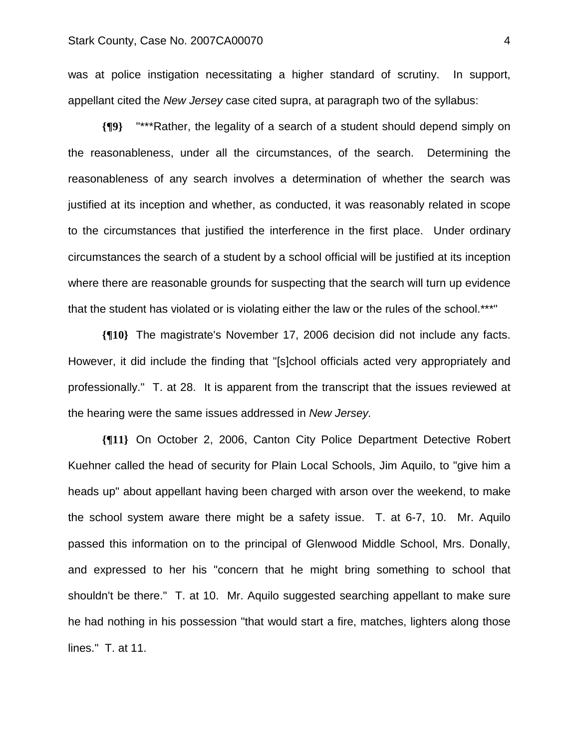was at police instigation necessitating a higher standard of scrutiny. In support, appellant cited the *New Jersey* case cited supra, at paragraph two of the syllabus:

**{¶9}** "\*\*\*Rather, the legality of a search of a student should depend simply on the reasonableness, under all the circumstances, of the search. Determining the reasonableness of any search involves a determination of whether the search was justified at its inception and whether, as conducted, it was reasonably related in scope to the circumstances that justified the interference in the first place. Under ordinary circumstances the search of a student by a school official will be justified at its inception where there are reasonable grounds for suspecting that the search will turn up evidence that the student has violated or is violating either the law or the rules of the school.\*\*\*"

**{¶10}** The magistrate's November 17, 2006 decision did not include any facts. However, it did include the finding that "[s]chool officials acted very appropriately and professionally." T. at 28. It is apparent from the transcript that the issues reviewed at the hearing were the same issues addressed in *New Jersey.*

**{¶11}** On October 2, 2006, Canton City Police Department Detective Robert Kuehner called the head of security for Plain Local Schools, Jim Aquilo, to "give him a heads up" about appellant having been charged with arson over the weekend, to make the school system aware there might be a safety issue. T. at 6-7, 10. Mr. Aquilo passed this information on to the principal of Glenwood Middle School, Mrs. Donally, and expressed to her his "concern that he might bring something to school that shouldn't be there." T. at 10. Mr. Aquilo suggested searching appellant to make sure he had nothing in his possession "that would start a fire, matches, lighters along those lines." T. at 11.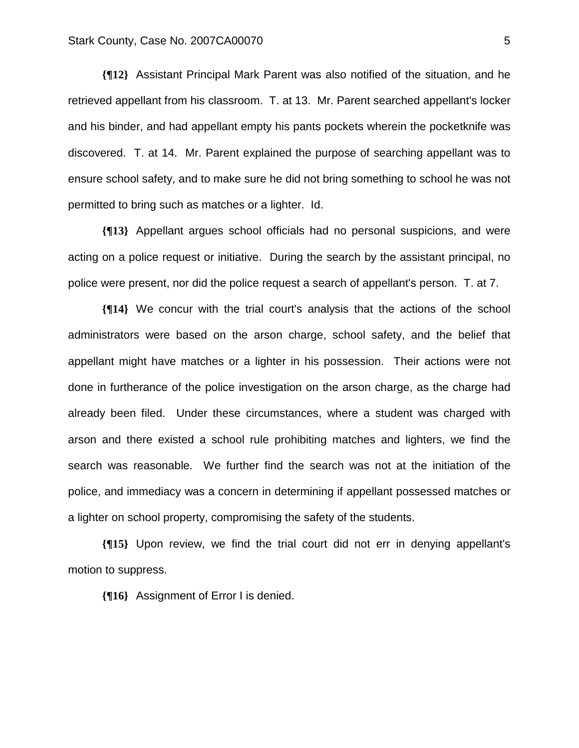**{¶12}** Assistant Principal Mark Parent was also notified of the situation, and he retrieved appellant from his classroom. T. at 13. Mr. Parent searched appellant's locker and his binder, and had appellant empty his pants pockets wherein the pocketknife was discovered. T. at 14. Mr. Parent explained the purpose of searching appellant was to ensure school safety, and to make sure he did not bring something to school he was not permitted to bring such as matches or a lighter. Id.

**{¶13}** Appellant argues school officials had no personal suspicions, and were acting on a police request or initiative. During the search by the assistant principal, no police were present, nor did the police request a search of appellant's person. T. at 7.

**{¶14}** We concur with the trial court's analysis that the actions of the school administrators were based on the arson charge, school safety, and the belief that appellant might have matches or a lighter in his possession. Their actions were not done in furtherance of the police investigation on the arson charge, as the charge had already been filed. Under these circumstances, where a student was charged with arson and there existed a school rule prohibiting matches and lighters, we find the search was reasonable. We further find the search was not at the initiation of the police, and immediacy was a concern in determining if appellant possessed matches or a lighter on school property, compromising the safety of the students.

**{¶15}** Upon review, we find the trial court did not err in denying appellant's motion to suppress.

**{¶16}** Assignment of Error I is denied.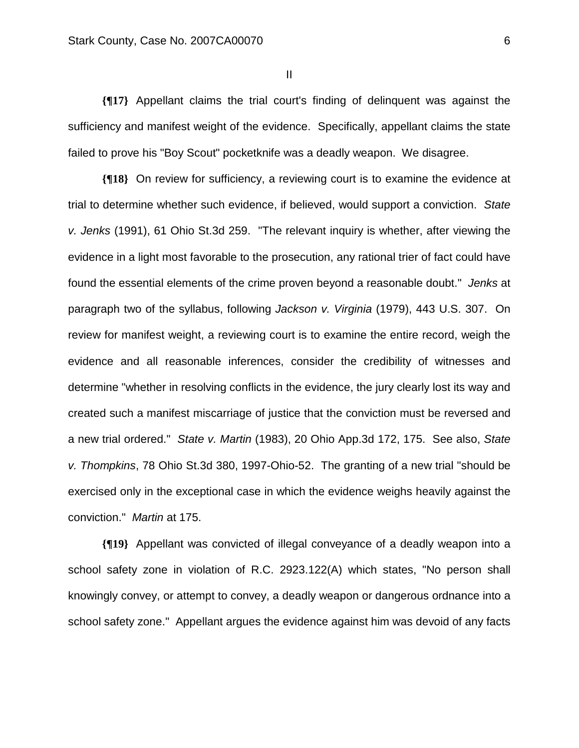II

**{¶17}** Appellant claims the trial court's finding of delinquent was against the sufficiency and manifest weight of the evidence. Specifically, appellant claims the state failed to prove his "Boy Scout" pocketknife was a deadly weapon. We disagree.

**{¶18}** On review for sufficiency, a reviewing court is to examine the evidence at trial to determine whether such evidence, if believed, would support a conviction. *State v. Jenks* (1991), 61 Ohio St.3d 259. "The relevant inquiry is whether, after viewing the evidence in a light most favorable to the prosecution, any rational trier of fact could have found the essential elements of the crime proven beyond a reasonable doubt." *Jenks* at paragraph two of the syllabus, following *Jackson v. Virginia* (1979), 443 U.S. 307. On review for manifest weight, a reviewing court is to examine the entire record, weigh the evidence and all reasonable inferences, consider the credibility of witnesses and determine "whether in resolving conflicts in the evidence, the jury clearly lost its way and created such a manifest miscarriage of justice that the conviction must be reversed and a new trial ordered." *State v. Martin* (1983), 20 Ohio App.3d 172, 175. See also, *State v. Thompkins*, 78 Ohio St.3d 380, 1997-Ohio-52. The granting of a new trial "should be exercised only in the exceptional case in which the evidence weighs heavily against the conviction." *Martin* at 175.

**{¶19}** Appellant was convicted of illegal conveyance of a deadly weapon into a school safety zone in violation of R.C. 2923.122(A) which states, "No person shall knowingly convey, or attempt to convey, a deadly weapon or dangerous ordnance into a school safety zone." Appellant argues the evidence against him was devoid of any facts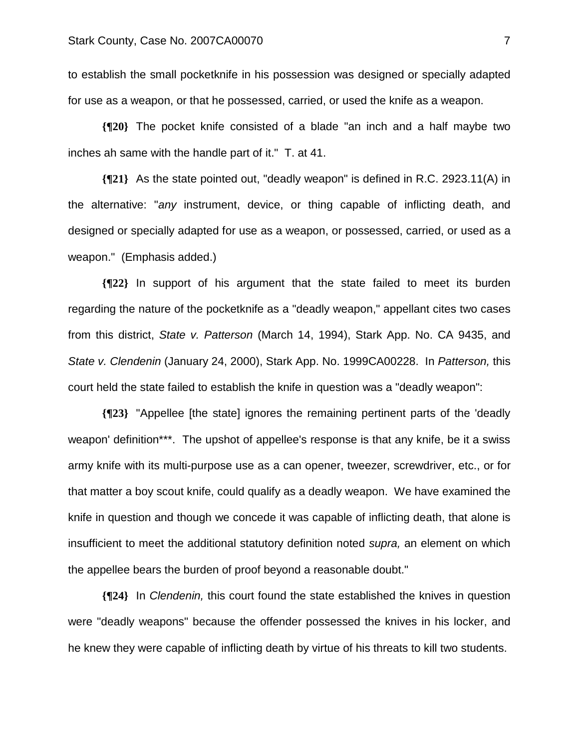to establish the small pocketknife in his possession was designed or specially adapted for use as a weapon, or that he possessed, carried, or used the knife as a weapon.

**{¶20}** The pocket knife consisted of a blade "an inch and a half maybe two inches ah same with the handle part of it." T. at 41.

**{¶21}** As the state pointed out, "deadly weapon" is defined in R.C. 2923.11(A) in the alternative: "*any* instrument, device, or thing capable of inflicting death, and designed or specially adapted for use as a weapon, or possessed, carried, or used as a weapon." (Emphasis added.)

**{¶22}** In support of his argument that the state failed to meet its burden regarding the nature of the pocketknife as a "deadly weapon," appellant cites two cases from this district, *State v. Patterson* (March 14, 1994), Stark App. No. CA 9435, and *State v. Clendenin* (January 24, 2000), Stark App. No. 1999CA00228. In *Patterson,* this court held the state failed to establish the knife in question was a "deadly weapon":

**{¶23}** "Appellee [the state] ignores the remaining pertinent parts of the 'deadly weapon' definition\*\*\*. The upshot of appellee's response is that any knife, be it a swiss army knife with its multi-purpose use as a can opener, tweezer, screwdriver, etc., or for that matter a boy scout knife, could qualify as a deadly weapon. We have examined the knife in question and though we concede it was capable of inflicting death, that alone is insufficient to meet the additional statutory definition noted *supra,* an element on which the appellee bears the burden of proof beyond a reasonable doubt."

**{¶24}** In *Clendenin,* this court found the state established the knives in question were "deadly weapons" because the offender possessed the knives in his locker, and he knew they were capable of inflicting death by virtue of his threats to kill two students.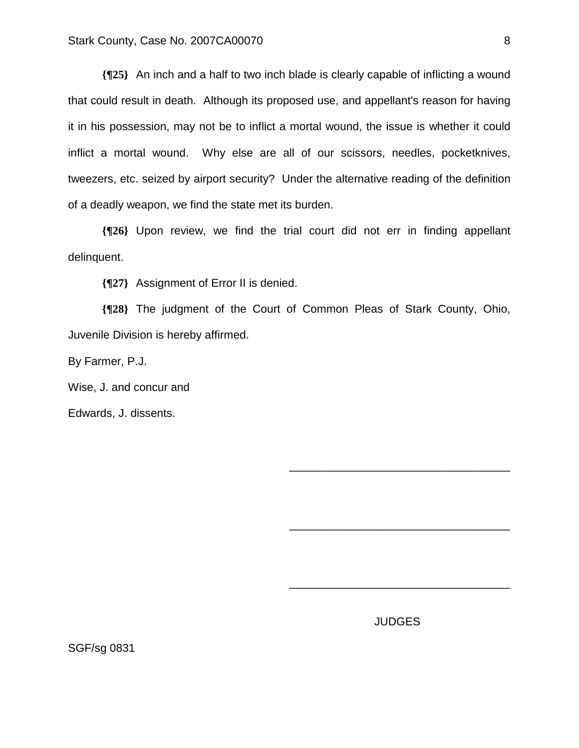**{¶25}** An inch and a half to two inch blade is clearly capable of inflicting a wound that could result in death. Although its proposed use, and appellant's reason for having it in his possession, may not be to inflict a mortal wound, the issue is whether it could inflict a mortal wound. Why else are all of our scissors, needles, pocketknives, tweezers, etc. seized by airport security? Under the alternative reading of the definition of a deadly weapon, we find the state met its burden.

**{¶26}** Upon review, we find the trial court did not err in finding appellant delinquent.

**{¶27}** Assignment of Error II is denied.

**{¶28}** The judgment of the Court of Common Pleas of Stark County, Ohio, Juvenile Division is hereby affirmed.

 $\overline{\phantom{a}}$  , which is a set of the set of the set of the set of the set of the set of the set of the set of the set of the set of the set of the set of the set of the set of the set of the set of the set of the set of th

 $\overline{\phantom{a}}$  , which is a set of the set of the set of the set of the set of the set of the set of the set of the set of the set of the set of the set of the set of the set of the set of the set of the set of the set of th

 $\overline{\phantom{a}}$  , which is a set of the set of the set of the set of the set of the set of the set of the set of the set of the set of the set of the set of the set of the set of the set of the set of the set of the set of th

By Farmer, P.J.

Wise, J. and concur and

Edwards, J. dissents.

JUDGES

SGF/sg 0831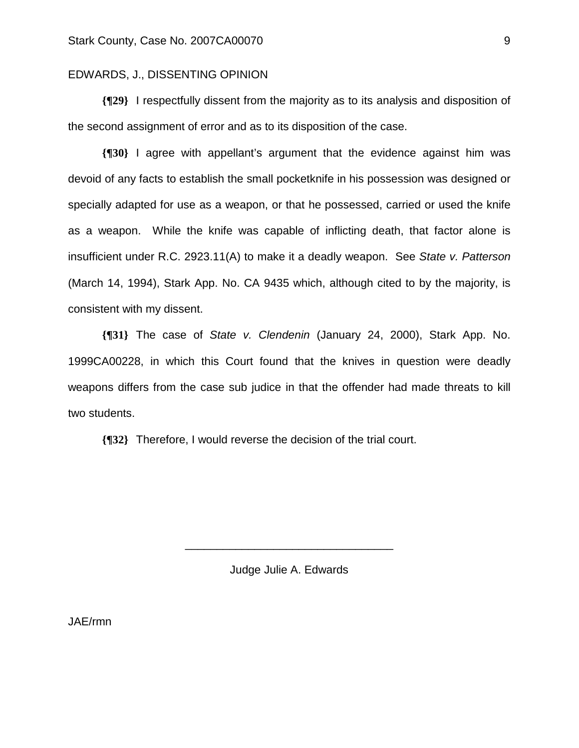#### EDWARDS, J., DISSENTING OPINION

**{¶29}** I respectfully dissent from the majority as to its analysis and disposition of the second assignment of error and as to its disposition of the case.

**{¶30}** I agree with appellant's argument that the evidence against him was devoid of any facts to establish the small pocketknife in his possession was designed or specially adapted for use as a weapon, or that he possessed, carried or used the knife as a weapon. While the knife was capable of inflicting death, that factor alone is insufficient under R.C. 2923.11(A) to make it a deadly weapon. See *State v. Patterson* (March 14, 1994), Stark App. No. CA 9435 which, although cited to by the majority, is consistent with my dissent.

**{¶31}** The case of *State v. Clendenin* (January 24, 2000), Stark App. No. 1999CA00228, in which this Court found that the knives in question were deadly weapons differs from the case sub judice in that the offender had made threats to kill two students.

**{¶32}** Therefore, I would reverse the decision of the trial court.

Judge Julie A. Edwards

\_\_\_\_\_\_\_\_\_\_\_\_\_\_\_\_\_\_\_\_\_\_\_\_\_\_\_\_\_\_\_\_\_

JAE/rmn